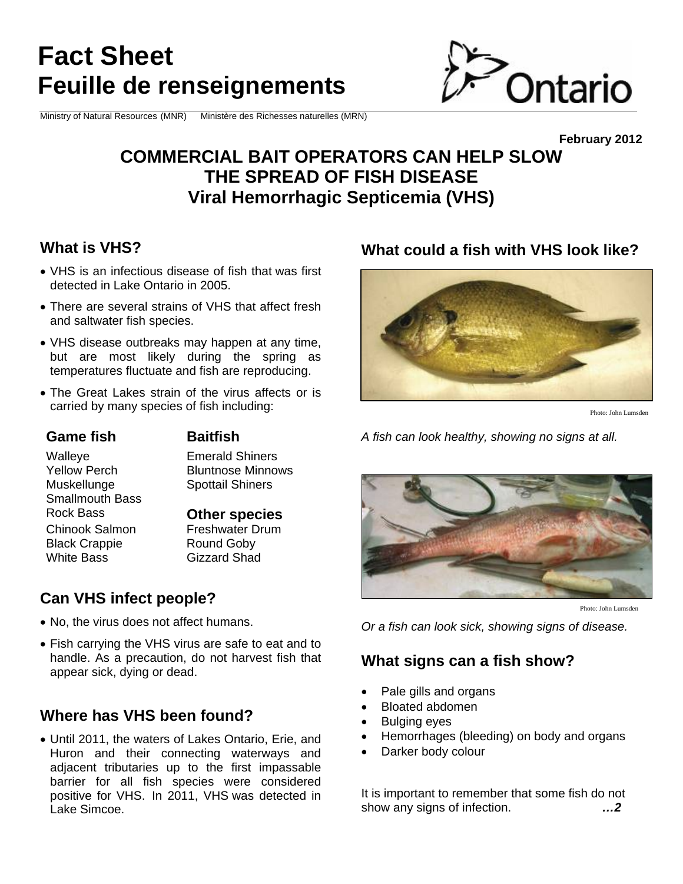# **Fact Sheet Feuille de renseignements**

Ministry of Natural Resources (MNR) Ministère des Richesses naturelles (MRN)



## **COMMERCIAL BAIT OPERATORS CAN HELP SLOW THE SPREAD OF FISH DISEASE Viral Hemorrhagic Septicemia (VHS)**

#### **What is VHS?**

- VHS is an infectious disease of fish that was first detected in Lake Ontario in 2005.
- There are several strains of VHS that affect fresh and saltwater fish species.
- VHS disease outbreaks may happen at any time, but are most likely during the spring as temperatures fluctuate and fish are reproducing.
- The Great Lakes strain of the virus affects or is carried by many species of fish including:

#### **Game fish Baitfish**

Smallmouth Bass

Walleye Emerald Shiners Yellow Perch Bluntnose Minnows Muskellunge Spottail Shiners

Rock Bass **Other species** 

Chinook Salmon Freshwater Drum Black Crappie Round Goby White Bass Gizzard Shad

### **Can VHS infect people?**

- No, the virus does not affect humans.
- Fish carrying the VHS virus are safe to eat and to handle. As a precaution, do not harvest fish that appear sick, dying or dead.

#### **Where has VHS been found?**

 Until 2011, the waters of Lakes Ontario, Erie, and Huron and their connecting waterways and adjacent tributaries up to the first impassable barrier for all fish species were considered positive for VHS. In 2011, VHS was detected in Lake Simcoe.

### **What could a fish with VHS look like?**



Photo: John Lumsden

**February 2012** 

*A fish can look healthy, showing no signs at all.* 



Photo: John Lumsden

*Or a fish can look sick, showing signs of disease.*

#### **What signs can a fish show?**

- Pale gills and organs
- Bloated abdomen
- Bulging eyes
- Hemorrhages (bleeding) on body and organs
- Darker body colour

It is important to remember that some fish do not show any signs of infection. *…2*